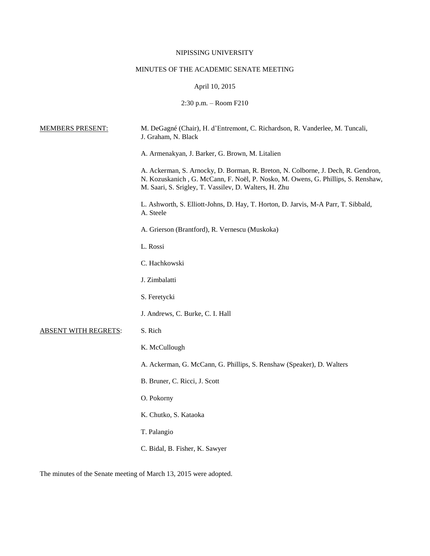# NIPISSING UNIVERSITY

# MINUTES OF THE ACADEMIC SENATE MEETING

# April 10, 2015

2:30 p.m. – Room F210

| <b>MEMBERS PRESENT:</b>     | M. DeGagné (Chair), H. d'Entremont, C. Richardson, R. Vanderlee, M. Tuncali,<br>J. Graham, N. Black                                                                                                                           |
|-----------------------------|-------------------------------------------------------------------------------------------------------------------------------------------------------------------------------------------------------------------------------|
|                             | A. Armenakyan, J. Barker, G. Brown, M. Litalien                                                                                                                                                                               |
|                             | A. Ackerman, S. Arnocky, D. Borman, R. Breton, N. Colborne, J. Dech, R. Gendron,<br>N. Kozuskanich, G. McCann, F. Noël, P. Nosko, M. Owens, G. Phillips, S. Renshaw,<br>M. Saari, S. Srigley, T. Vassilev, D. Walters, H. Zhu |
|                             | L. Ashworth, S. Elliott-Johns, D. Hay, T. Horton, D. Jarvis, M-A Parr, T. Sibbald,<br>A. Steele                                                                                                                               |
|                             | A. Grierson (Brantford), R. Vernescu (Muskoka)                                                                                                                                                                                |
|                             | L. Rossi                                                                                                                                                                                                                      |
|                             | C. Hachkowski                                                                                                                                                                                                                 |
|                             | J. Zimbalatti                                                                                                                                                                                                                 |
|                             | S. Feretycki                                                                                                                                                                                                                  |
|                             | J. Andrews, C. Burke, C. I. Hall                                                                                                                                                                                              |
| <b>ABSENT WITH REGRETS:</b> | S. Rich                                                                                                                                                                                                                       |
|                             | K. McCullough                                                                                                                                                                                                                 |
|                             | A. Ackerman, G. McCann, G. Phillips, S. Renshaw (Speaker), D. Walters                                                                                                                                                         |
|                             | B. Bruner, C. Ricci, J. Scott                                                                                                                                                                                                 |
|                             | O. Pokorny                                                                                                                                                                                                                    |
|                             | K. Chutko, S. Kataoka                                                                                                                                                                                                         |
|                             | T. Palangio                                                                                                                                                                                                                   |
|                             | C. Bidal, B. Fisher, K. Sawyer                                                                                                                                                                                                |

The minutes of the Senate meeting of March 13, 2015 were adopted.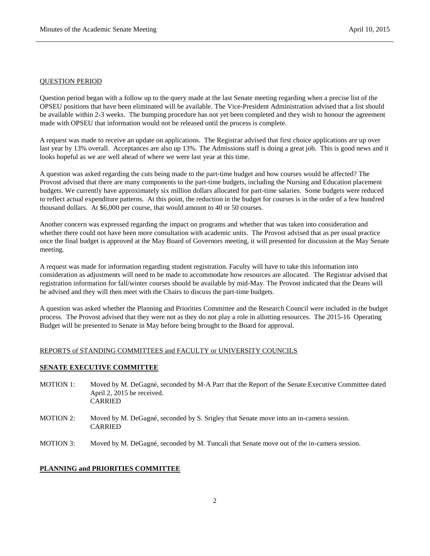### QUESTION PERIOD

Question period began with a follow up to the query made at the last Senate meeting regarding when a precise list of the OPSEU positions that have been eliminated will be available. The Vice-President Administration advised that a list should be available within 2-3 weeks. The bumping procedure has not yet been completed and they wish to honour the agreement made with OPSEU that information would not be released until the process is complete.

A request was made to receive an update on applications. The Registrar advised that first choice applications are up over last year by 13% overall. Acceptances are also up 13%. The Admissions staff is doing a great job. This is good news and it looks hopeful as we are well ahead of where we were last year at this time.

A question was asked regarding the cuts being made to the part-time budget and how courses would be affected? The Provost advised that there are many components to the part-time budgets, including the Nursing and Education placement budgets. We currently have approximately six million dollars allocated for part-time salaries. Some budgets were reduced to reflect actual expenditure patterns. At this point, the reduction in the budget for courses is in the order of a few hundred thousand dollars. At \$6,000 per course, that would amount to 40 or 50 courses.

Another concern was expressed regarding the impact on programs and whether that was taken into consideration and whether there could not have been more consultation with academic units. The Provost advised that as per usual practice once the final budget is approved at the May Board of Governors meeting, it will presented for discussion at the May Senate meeting.

A request was made for information regarding student registration. Faculty will have to take this information into consideration as adjustments will need to be made to accommodate how resources are allocated. The Registrar advised that registration information for fall/winter courses should be available by mid-May. The Provost indicated that the Deans will be advised and they will then meet with the Chairs to discuss the part-time budgets.

A question was asked whether the Planning and Priorities Committee and the Research Council were included in the budget process. The Provost advised that they were not as they do not play a role in allotting resources. The 2015-16 Operating Budget will be presented to Senate in May before being brought to the Board for approval.

# REPORTS of STANDING COMMITTEES and FACULTY or UNIVERSITY COUNCILS

# **SENATE EXECUTIVE COMMITTEE**

- MOTION 1: Moved by M. DeGagné, seconded by M-A Parr that the Report of the Senate Executive Committee dated April 2, 2015 be received. **CARRIED**
- MOTION 2: Moved by M. DeGagné, seconded by S. Srigley that Senate move into an in-camera session. CARRIED
- MOTION 3: Moved by M. DeGagné, seconded by M. Tuncali that Senate move out of the in-camera session.

### **PLANNING and PRIORITIES COMMITTEE**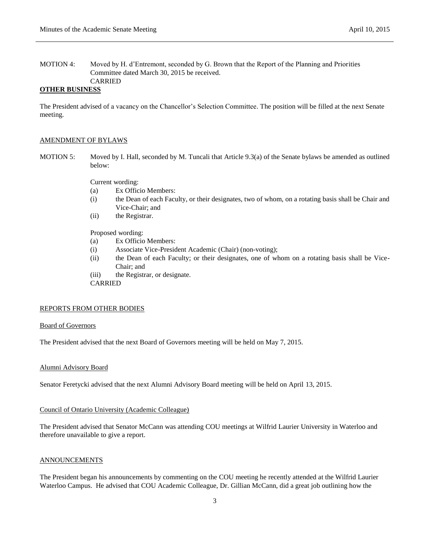MOTION 4: Moved by H. d'Entremont, seconded by G. Brown that the Report of the Planning and Priorities Committee dated March 30, 2015 be received. CARRIED

### **OTHER BUSINESS**

The President advised of a vacancy on the Chancellor's Selection Committee. The position will be filled at the next Senate meeting.

#### AMENDMENT OF BYLAWS

MOTION 5: Moved by I. Hall, seconded by M. Tuncali that Article 9.3(a) of the Senate bylaws be amended as outlined below:

Current wording:

- (a) Ex Officio Members:
- (i) the Dean of each Faculty, or their designates, two of whom, on a rotating basis shall be Chair and Vice-Chair; and
- (ii) the Registrar.

Proposed wording:

- (a) Ex Officio Members:
- (i) Associate Vice-President Academic (Chair) (non-voting);
- (ii) the Dean of each Faculty; or their designates, one of whom on a rotating basis shall be Vice-Chair; and
- (iii) the Registrar, or designate.

CARRIED

### REPORTS FROM OTHER BODIES

#### Board of Governors

The President advised that the next Board of Governors meeting will be held on May 7, 2015.

# Alumni Advisory Board

Senator Feretycki advised that the next Alumni Advisory Board meeting will be held on April 13, 2015.

#### Council of Ontario University (Academic Colleague)

The President advised that Senator McCann was attending COU meetings at Wilfrid Laurier University in Waterloo and therefore unavailable to give a report.

### ANNOUNCEMENTS

The President began his announcements by commenting on the COU meeting he recently attended at the Wilfrid Laurier Waterloo Campus. He advised that COU Academic Colleague, Dr. Gillian McCann, did a great job outlining how the